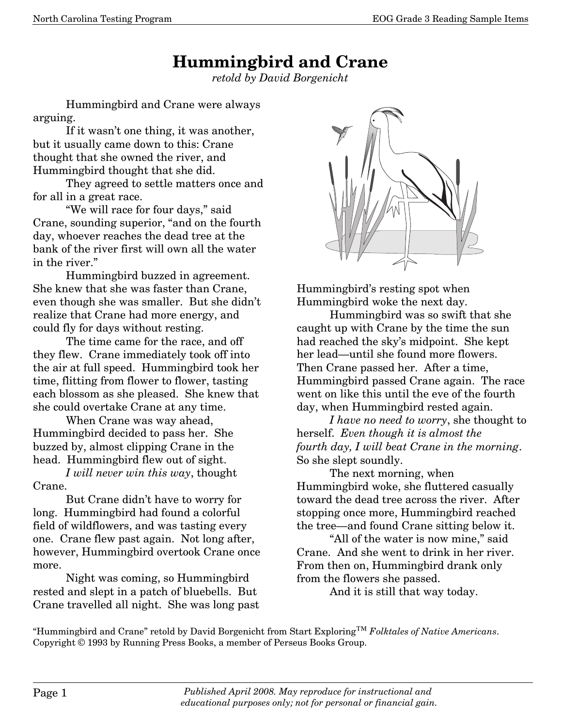## **Hummingbird and Crane**

*retold by David Borgenicht* 

Hummingbird and Crane were always arguing.

 If it wasn't one thing, it was another, but it usually came down to this: Crane thought that she owned the river, and Hummingbird thought that she did.

 They agreed to settle matters once and for all in a great race.

 "We will race for four days," said Crane, sounding superior, "and on the fourth day, whoever reaches the dead tree at the bank of the river first will own all the water in the river."

 Hummingbird buzzed in agreement. She knew that she was faster than Crane, even though she was smaller. But she didn't realize that Crane had more energy, and could fly for days without resting.

 The time came for the race, and off they flew. Crane immediately took off into the air at full speed. Hummingbird took her time, flitting from flower to flower, tasting each blossom as she pleased. She knew that she could overtake Crane at any time.

 When Crane was way ahead, Hummingbird decided to pass her. She buzzed by, almost clipping Crane in the head. Hummingbird flew out of sight.

*I will never win this way*, thought Crane.

 But Crane didn't have to worry for long. Hummingbird had found a colorful field of wildflowers, and was tasting every one. Crane flew past again. Not long after, however, Hummingbird overtook Crane once more.

 Night was coming, so Hummingbird rested and slept in a patch of bluebells. But Crane travelled all night. She was long past



Hummingbird's resting spot when Hummingbird woke the next day.

 Hummingbird was so swift that she caught up with Crane by the time the sun had reached the sky's midpoint. She kept her lead–until she found more flowers. Then Crane passed her. After a time, Hummingbird passed Crane again. The race went on like this until the eve of the fourth day, when Hummingbird rested again.

*I have no need to worry*, she thought to herself. *Even though it is almost the fourth day, I will beat Crane in the morning*. So she slept soundly.

 The next morning, when Hummingbird woke, she fluttered casually toward the dead tree across the river. After stopping once more, Hummingbird reached the tree–and found Crane sitting below it.

 "All of the water is now mine," said Crane. And she went to drink in her river. From then on, Hummingbird drank only from the flowers she passed.

And it is still that way today.

"Hummingbird and Crane" retold by David Borgenicht from Start Exploring™ *Folktales of Native Americans*. Copyright © 1993 by Running Press Books, a member of Perseus Books Group.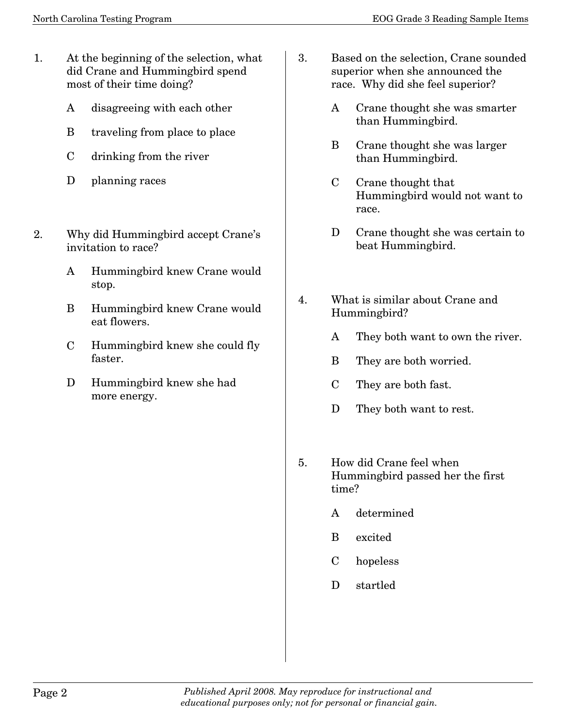- 1. At the beginning of the selection, what did Crane and Hummingbird spend most of their time doing?
	- A disagreeing with each other
	- B traveling from place to place
	- C drinking from the river
	- D planning races
- 2. Why did Hummingbird accept Crane's invitation to race?
	- A Hummingbird knew Crane would stop.
	- B Hummingbird knew Crane would eat flowers.
	- C Hummingbird knew she could fly faster.
	- D Hummingbird knew she had more energy.
- 3. Based on the selection, Crane sounded superior when she announced the race. Why did she feel superior?
	- A Crane thought she was smarter than Hummingbird.
	- B Crane thought she was larger than Hummingbird.
	- C Crane thought that Hummingbird would not want to race.
	- D Crane thought she was certain to beat Hummingbird.
- 4. What is similar about Crane and Hummingbird?
	- A They both want to own the river.
	- B They are both worried.
	- C They are both fast.
	- D They both want to rest.
- 5. How did Crane feel when Hummingbird passed her the first time?
	- A determined
	- B excited
	- C hopeless
	- D startled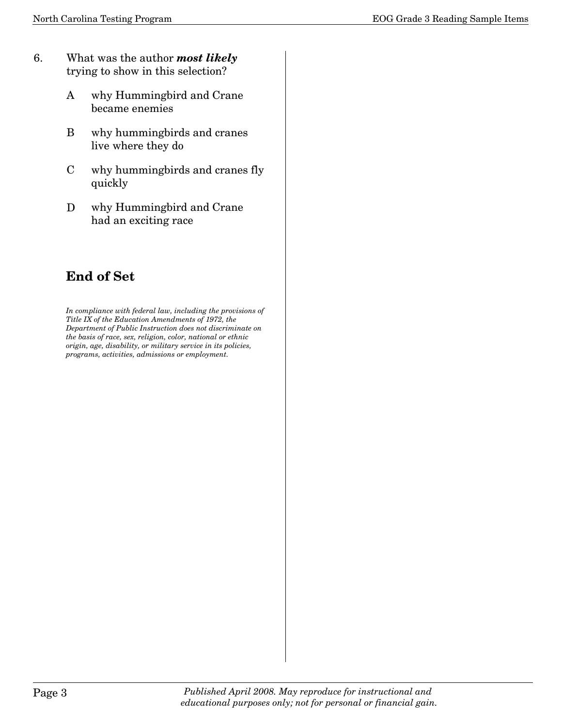- 6. What was the author *most likely* trying to show in this selection?
	- A why Hummingbird and Crane became enemies
	- B why hummingbirds and cranes live where they do
	- C why hummingbirds and cranes fly quickly
	- D why Hummingbird and Crane had an exciting race

## **End of Set**

*In compliance with federal law, including the provisions of Title IX of the Education Amendments of 1972, the Department of Public Instruction does not discriminate on the basis of race, sex, religion, color, national or ethnic origin, age, disability, or military service in its policies, programs, activities, admissions or employment.*